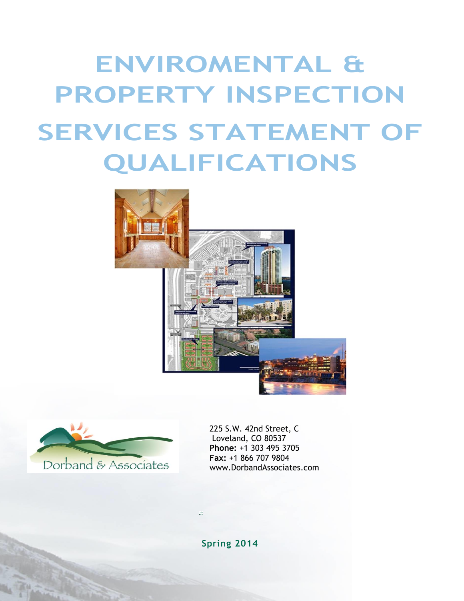# **ENVIROMENTAL & PROPERTY INSPECTION SERVICES STATEMENT OF QUALIFICATIONS**





225 S.W. 42nd Street, C Loveland, CO 80537 **Phone:** +1 303 495 3705 **Fax:** +1 866 707 9804 www.DorbandAssociates.com

**Spring 2014**

ă.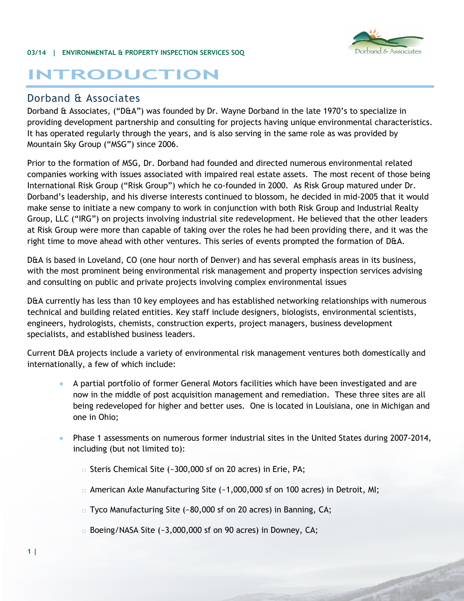#### **03/14 | ENVIRONMENTAL & PROPERTY INSPECTION SERVICES SOQ**



# **INTRODUCTION**

#### Dorband & Associates

Dorband & Associates, ("D&A") was founded by Dr. Wayne Dorband in the late 1970's to specialize in providing development partnership and consulting for projects having unique environmental characteristics. It has operated regularly through the years, and is also serving in the same role as was provided by Mountain Sky Group ("MSG") since 2006.

Prior to the formation of MSG, Dr. Dorband had founded and directed numerous environmental related companies working with issues associated with impaired real estate assets. The most recent of those being International Risk Group ("Risk Group") which he co-founded in 2000. As Risk Group matured under Dr. Dorband's leadership, and his diverse interests continued to blossom, he decided in mid-2005 that it would make sense to initiate a new company to work in conjunction with both Risk Group and Industrial Realty Group, LLC ("IRG") on projects involving industrial site redevelopment. He believed that the other leaders at Risk Group were more than capable of taking over the roles he had been providing there, and it was the right time to move ahead with other ventures. This series of events prompted the formation of D&A.

D&A is based in Loveland, CO (one hour north of Denver) and has several emphasis areas in its business, with the most prominent being environmental risk management and property inspection services advising and consulting on public and private projects involving complex environmental issues

D&A currently has less than 10 key employees and has established networking relationships with numerous technical and building related entities. Key staff include designers, biologists, environmental scientists, engineers, hydrologists, chemists, construction experts, project managers, business development specialists, and established business leaders.

Current D&A projects include a variety of environmental risk management ventures both domestically and internationally, a few of which include:

- A partial portfolio of former General Motors facilities which have been investigated and are now in the middle of post acquisition management and remediation. These three sites are all being redeveloped for higher and better uses. One is located in Louisiana, one in Michigan and one in Ohio;
- Phase 1 assessments on numerous former industrial sites in the United States during 2007-2014, including (but not limited to):
	- $\Box$  Steris Chemical Site (~300,000 sf on 20 acres) in Erie, PA;
	- $\Box$  American Axle Manufacturing Site (~1,000,000 sf on 100 acres) in Detroit, MI;
	- □ Tyco Manufacturing Site (~80,000 sf on 20 acres) in Banning, CA;
	- $\Box$  Boeing/NASA Site (~3,000,000 sf on 90 acres) in Downey, CA;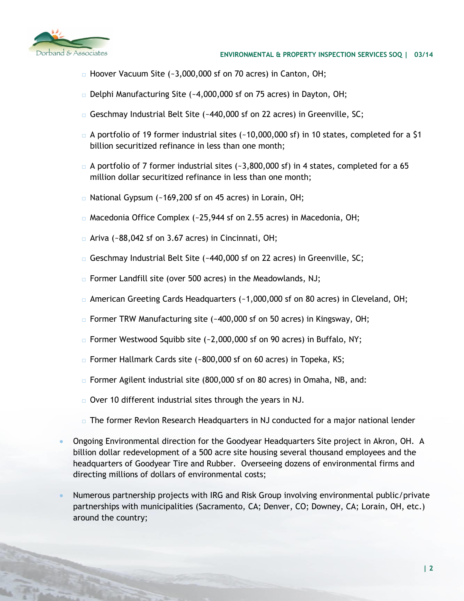

- $\Box$  Hoover Vacuum Site (~3,000,000 sf on 70 acres) in Canton, OH;
- $\Box$  Delphi Manufacturing Site (~4,000,000 sf on 75 acres) in Dayton, OH;
- $G$  Geschmay Industrial Belt Site (~440,000 sf on 22 acres) in Greenville, SC;
- $\Box$  A portfolio of 19 former industrial sites (~10,000,000 sf) in 10 states, completed for a \$1 billion securitized refinance in less than one month;
- $\Box$  A portfolio of 7 former industrial sites (~3,800,000 sf) in 4 states, completed for a 65 million dollar securitized refinance in less than one month;
- National Gypsum (~169,200 sf on 45 acres) in Lorain, OH;
- Macedonia Office Complex (~25,944 sf on 2.55 acres) in Macedonia, OH;
- $\Box$  Ariva (~88,042 sf on 3.67 acres) in Cincinnati, OH;
- $G$  Geschmay Industrial Belt Site (~440,000 sf on 22 acres) in Greenville, SC;
- □ Former Landfill site (over 500 acres) in the Meadowlands, NJ;
- $\Box$  American Greeting Cards Headquarters (~1,000,000 sf on 80 acres) in Cleveland, OH;
- $\Box$  Former TRW Manufacturing site (~400,000 sf on 50 acres) in Kingsway, OH;
- $\Box$  Former Westwood Squibb site (~2,000,000 sf on 90 acres) in Buffalo, NY;
- $\Box$  Former Hallmark Cards site (~800,000 sf on 60 acres) in Topeka, KS;
- $\Box$  Former Agilent industrial site (800,000 sf on 80 acres) in Omaha, NB, and:
- $\Box$  Over 10 different industrial sites through the years in NJ.
- $\Box$  The former Revlon Research Headquarters in NJ conducted for a major national lender
- Ongoing Environmental direction for the Goodyear Headquarters Site project in Akron, OH. A billion dollar redevelopment of a 500 acre site housing several thousand employees and the headquarters of Goodyear Tire and Rubber. Overseeing dozens of environmental firms and directing millions of dollars of environmental costs;
- Numerous partnership projects with IRG and Risk Group involving environmental public/private partnerships with municipalities (Sacramento, CA; Denver, CO; Downey, CA; Lorain, OH, etc.) around the country;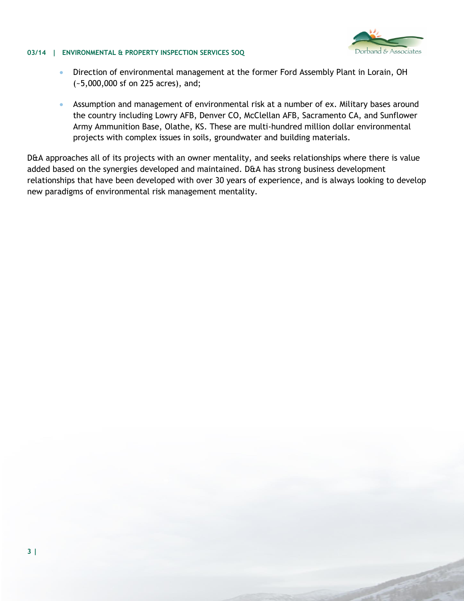# band & Associates

#### **03/14 | ENVIRONMENTAL & PROPERTY INSPECTION SERVICES SOQ**

- Direction of environmental management at the former Ford Assembly Plant in Lorain, OH (~5,000,000 sf on 225 acres), and;
- Assumption and management of environmental risk at a number of ex. Military bases around the country including Lowry AFB, Denver CO, McClellan AFB, Sacramento CA, and Sunflower Army Ammunition Base, Olathe, KS. These are multi-hundred million dollar environmental projects with complex issues in soils, groundwater and building materials.

D&A approaches all of its projects with an owner mentality, and seeks relationships where there is value added based on the synergies developed and maintained. D&A has strong business development relationships that have been developed with over 30 years of experience, and is always looking to develop new paradigms of environmental risk management mentality.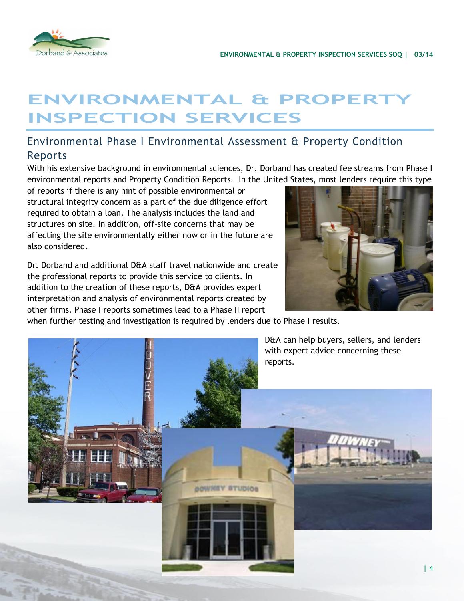



# **ENVIRONMENTAL & PROPERT INSPECTION SERVICES**

# Environmental Phase I Environmental Assessment & Property Condition Reports

With his extensive background in environmental sciences, Dr. Dorband has created fee streams from Phase I environmental reports and Property Condition Reports. In the United States, most lenders require this type

of reports if there is any hint of possible environmental or structural integrity concern as a part of the due diligence effort required to obtain a loan. The analysis includes the land and structures on site. In addition, off-site concerns that may be affecting the site environmentally either now or in the future are also considered.

Dr. Dorband and additional D&A staff travel nationwide and create the professional reports to provide this service to clients. In addition to the creation of these reports, D&A provides expert interpretation and analysis of environmental reports created by other firms. Phase I reports sometimes lead to a Phase II report



when further testing and investigation is required by lenders due to Phase I results.

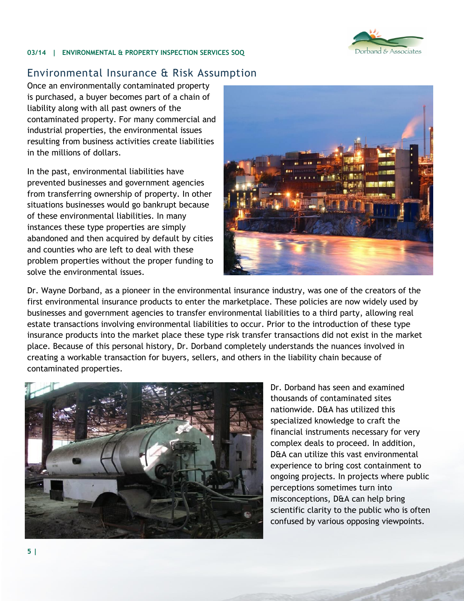

#### **03/14 | ENVIRONMENTAL & PROPERTY INSPECTION SERVICES SOQ**

### Environmental Insurance & Risk Assumption

Once an environmentally contaminated property is purchased, a buyer becomes part of a chain of liability along with all past owners of the contaminated property. For many commercial and industrial properties, the environmental issues resulting from business activities create liabilities in the millions of dollars.

In the past, environmental liabilities have prevented businesses and government agencies from transferring ownership of property. In other situations businesses would go bankrupt because of these environmental liabilities. In many instances these type properties are simply abandoned and then acquired by default by cities and counties who are left to deal with these problem properties without the proper funding to solve the environmental issues.



Dr. Wayne Dorband, as a pioneer in the environmental insurance industry, was one of the creators of the first environmental insurance products to enter the marketplace. These policies are now widely used by businesses and government agencies to transfer environmental liabilities to a third party, allowing real estate transactions involving environmental liabilities to occur. Prior to the introduction of these type insurance products into the market place these type risk transfer transactions did not exist in the market place. Because of this personal history, Dr. Dorband completely understands the nuances involved in creating a workable transaction for buyers, sellers, and others in the liability chain because of contaminated properties.



Dr. Dorband has seen and examined thousands of contaminated sites nationwide. D&A has utilized this specialized knowledge to craft the financial instruments necessary for very complex deals to proceed. In addition, D&A can utilize this vast environmental experience to bring cost containment to ongoing projects. In projects where public perceptions sometimes turn into misconceptions, D&A can help bring scientific clarity to the public who is often confused by various opposing viewpoints.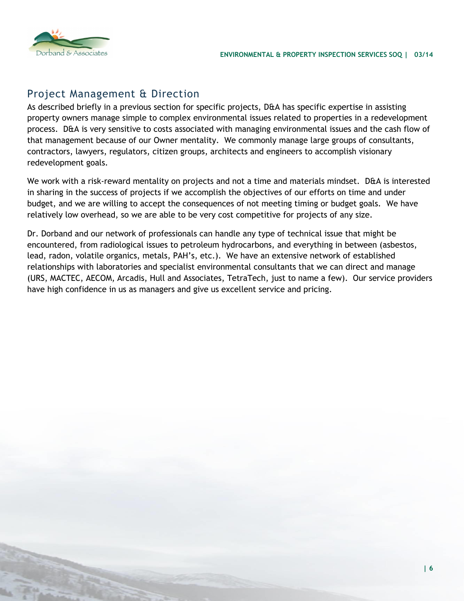

## Project Management & Direction

As described briefly in a previous section for specific projects, D&A has specific expertise in assisting property owners manage simple to complex environmental issues related to properties in a redevelopment process. D&A is very sensitive to costs associated with managing environmental issues and the cash flow of that management because of our Owner mentality. We commonly manage large groups of consultants, contractors, lawyers, regulators, citizen groups, architects and engineers to accomplish visionary redevelopment goals.

We work with a risk-reward mentality on projects and not a time and materials mindset. D&A is interested in sharing in the success of projects if we accomplish the objectives of our efforts on time and under budget, and we are willing to accept the consequences of not meeting timing or budget goals. We have relatively low overhead, so we are able to be very cost competitive for projects of any size.

Dr. Dorband and our network of professionals can handle any type of technical issue that might be encountered, from radiological issues to petroleum hydrocarbons, and everything in between (asbestos, lead, radon, volatile organics, metals, PAH's, etc.). We have an extensive network of established relationships with laboratories and specialist environmental consultants that we can direct and manage (URS, MACTEC, AECOM, Arcadis, Hull and Associates, TetraTech, just to name a few). Our service providers have high confidence in us as managers and give us excellent service and pricing.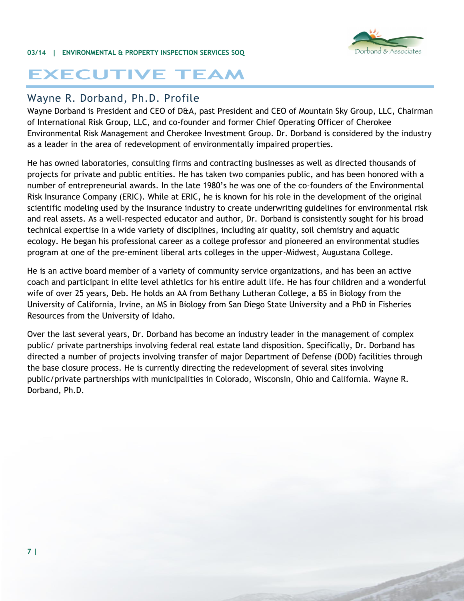

# **EXECUTIVE TEAM**

## Wayne R. Dorband, Ph.D. Profile

Wayne Dorband is President and CEO of D&A, past President and CEO of Mountain Sky Group, LLC, Chairman of International Risk Group, LLC, and co-founder and former Chief Operating Officer of Cherokee Environmental Risk Management and Cherokee Investment Group. Dr. Dorband is considered by the industry as a leader in the area of redevelopment of environmentally impaired properties.

He has owned laboratories, consulting firms and contracting businesses as well as directed thousands of projects for private and public entities. He has taken two companies public, and has been honored with a number of entrepreneurial awards. In the late 1980's he was one of the co-founders of the Environmental Risk Insurance Company (ERIC). While at ERIC, he is known for his role in the development of the original scientific modeling used by the insurance industry to create underwriting guidelines for environmental risk and real assets. As a well-respected educator and author, Dr. Dorband is consistently sought for his broad technical expertise in a wide variety of disciplines, including air quality, soil chemistry and aquatic ecology. He began his professional career as a college professor and pioneered an environmental studies program at one of the pre-eminent liberal arts colleges in the upper-Midwest, Augustana College.

He is an active board member of a variety of community service organizations, and has been an active coach and participant in elite level athletics for his entire adult life. He has four children and a wonderful wife of over 25 years, Deb. He holds an AA from Bethany Lutheran College, a BS in Biology from the University of California, Irvine, an MS in Biology from San Diego State University and a PhD in Fisheries Resources from the University of Idaho.

Over the last several years, Dr. Dorband has become an industry leader in the management of complex public/ private partnerships involving federal real estate land disposition. Specifically, Dr. Dorband has directed a number of projects involving transfer of major Department of Defense (DOD) facilities through the base closure process. He is currently directing the redevelopment of several sites involving public/private partnerships with municipalities in Colorado, Wisconsin, Ohio and California. Wayne R. Dorband, Ph.D.